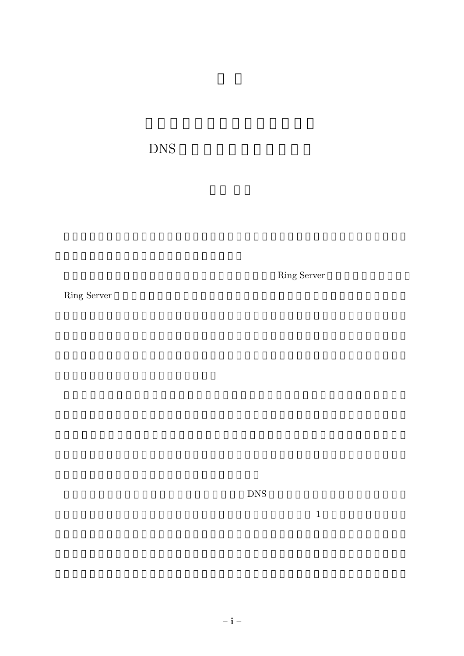DNS

Ring Server

Ring Server

 $\text{DNS}$ 

 $1$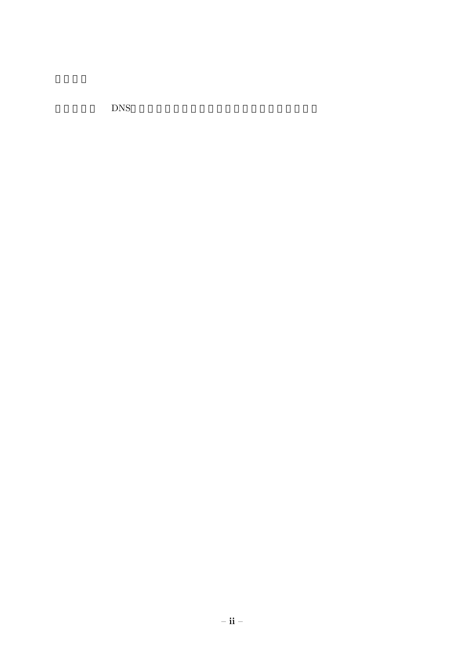**DNS**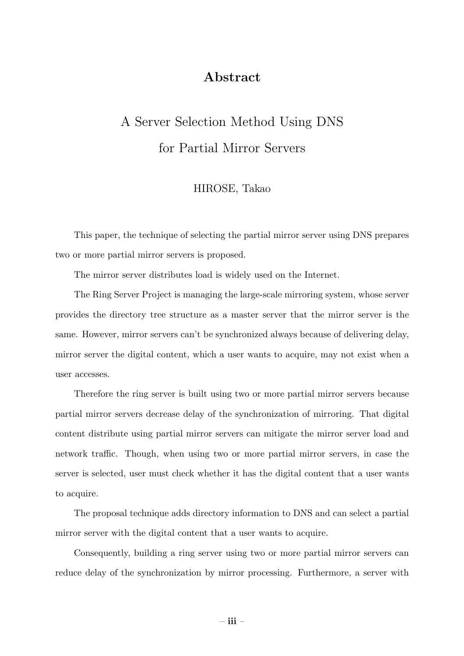## Abstract

## A Server Selection Method Using DNS for Partial Mirror Servers

## HIROSE, Takao

This paper, the technique of selecting the partial mirror server using DNS prepares two or more partial mirror servers is proposed.

The mirror server distributes load is widely used on the Internet.

The Ring Server Project is managing the large-scale mirroring system, whose server provides the directory tree structure as a master server that the mirror server is the same. However, mirror servers can't be synchronized always because of delivering delay, mirror server the digital content, which a user wants to acquire, may not exist when a user accesses.

Therefore the ring server is built using two or more partial mirror servers because partial mirror servers decrease delay of the synchronization of mirroring. That digital content distribute using partial mirror servers can mitigate the mirror server load and network traffic. Though, when using two or more partial mirror servers, in case the server is selected, user must check whether it has the digital content that a user wants to acquire.

The proposal technique adds directory information to DNS and can select a partial mirror server with the digital content that a user wants to acquire.

Consequently, building a ring server using two or more partial mirror servers can reduce delay of the synchronization by mirror processing. Furthermore, a server with